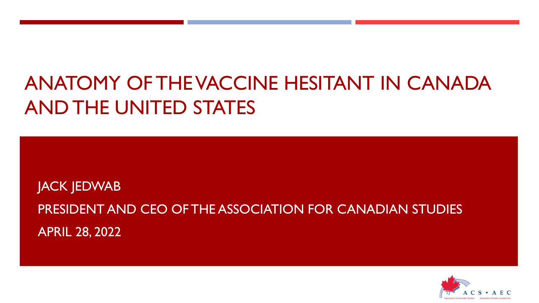# ANATOMY OF THE VACCINE HESITANT IN CANADA AND THE UNITED STATES

JACK JEDWAB PRESIDENT AND CEO OF THE ASSOCIATION FOR CANADIAN STUDIES APRIL 28, 2022

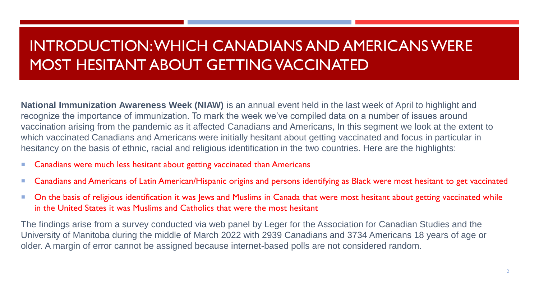# INTRODUCTION: WHICH CANADIANS AND AMERICANS WERE MOST HESITANT ABOUT GETTING VACCINATED

**National Immunization Awareness Week (NIAW)** is an annual event held in the last week of April to highlight and recognize the importance of immunization. To mark the week we've compiled data on a number of issues around vaccination arising from the pandemic as it affected Canadians and Americans, In this segment we look at the extent to which vaccinated Canadians and Americans were initially hesitant about getting vaccinated and focus in particular in hesitancy on the basis of ethnic, racial and religious identification in the two countries. Here are the highlights:

- Canadians were much less hesitant about getting vaccinated than Americans
- Canadians and Americans of Latin American/Hispanic origins and persons identifying as Black were most hesitant to get vaccinated
- On the basis of religious identification it was Jews and Muslims in Canada that were most hesitant about getting vaccinated while in the United States it was Muslims and Catholics that were the most hesitant

The findings arise from a survey conducted via web panel by Leger for the Association for Canadian Studies and the University of Manitoba during the middle of March 2022 with 2939 Canadians and 3734 Americans 18 years of age or older. A margin of error cannot be assigned because internet-based polls are not considered random.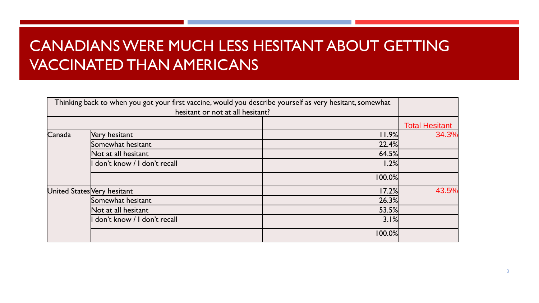# CANADIANS WERE MUCH LESS HESITANT ABOUT GETTING VACCINATED THAN AMERICANS

|        | Thinking back to when you got your first vaccine, would you describe yourself as very hesitant, somewhat<br>hesitant or not at all hesitant? |        |                       |
|--------|----------------------------------------------------------------------------------------------------------------------------------------------|--------|-----------------------|
|        |                                                                                                                                              |        | <b>Total Hesitant</b> |
| Canada | Very hesitant                                                                                                                                | 11.9%  | 34.3%                 |
|        | Somewhat hesitant                                                                                                                            | 22.4%  |                       |
|        | Not at all hesitant                                                                                                                          | 64.5%  |                       |
|        | don't know / I don't recall                                                                                                                  | 1.2%   |                       |
|        |                                                                                                                                              | 100.0% |                       |
|        | United States Very hesitant                                                                                                                  | 17.2%  | 43.5%                 |
|        | Somewhat hesitant                                                                                                                            | 26.3%  |                       |
|        | Not at all hesitant                                                                                                                          | 53.5%  |                       |
|        | don't know / I don't recall                                                                                                                  | 3.1%   |                       |
|        |                                                                                                                                              | 100.0% |                       |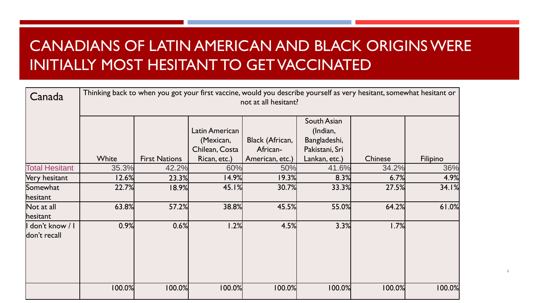# CANADIANS OF LATIN AMERICAN AND BLACK ORIGINS WERE INITIALLY MOST HESITANT TO GET VACCINATED

| Canada                 | Thinking back to when you got your first vaccine, would you describe yourself as very hesitant, somewhat hesitant or<br>not at all hesitant? |                      |                |                 |                |         |          |
|------------------------|----------------------------------------------------------------------------------------------------------------------------------------------|----------------------|----------------|-----------------|----------------|---------|----------|
|                        |                                                                                                                                              |                      |                |                 | South Asian    |         |          |
|                        |                                                                                                                                              |                      | Latin American |                 | (Indian,       |         |          |
|                        |                                                                                                                                              |                      | (Mexican,      | Black (African, | Bangladeshi,   |         |          |
|                        |                                                                                                                                              |                      | Chilean, Costa | African-        | Pakistani, Sri |         |          |
|                        | White                                                                                                                                        | <b>First Nations</b> | Rican, etc.)   | American, etc.) | Lankan, etc.)  | Chinese | Filipino |
| <b>Total Hesitant</b>  | 35.3%                                                                                                                                        | 42.2%                | 60%            | 50%             | 41.6%          | 34.2%   | 36%      |
| Very hesitant          | 12.6%                                                                                                                                        | 23.3%                | 14.9%          | 19.3%           | 8.3%           | 6.7%    | 4.9%     |
| Somewhat               | 22.7%                                                                                                                                        | 18.9%                | 45.1%          | 30.7%           | 33.3%          | 27.5%   | 34.1%    |
| hesitant               |                                                                                                                                              |                      |                |                 |                |         |          |
| Not at all<br>hesitant | 63.8%                                                                                                                                        | 57.2%                | 38.8%          | 45.5%           | 55.0%          | 64.2%   | 61.0%    |
| l don't know / l       | 0.9%                                                                                                                                         | 0.6%                 | 1.2%           | 4.5%            | 3.3%           | 1.7%    |          |
| don't recall           |                                                                                                                                              |                      |                |                 |                |         |          |
|                        | 100.0%                                                                                                                                       | 100.0%               | 100.0%         | 100.0%          | 100.0%         | 100.0%  | 100.0%   |

4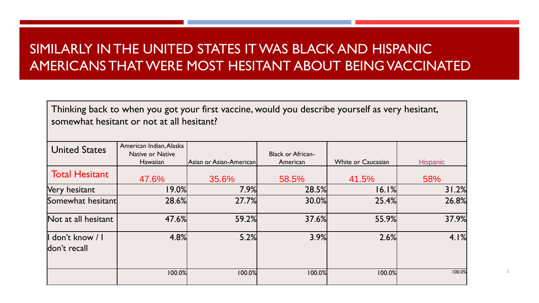### SIMILARLY IN THE UNITED STATES IT WAS BLACK AND HISPANIC AMERICANS THAT WERE MOST HESITANT ABOUT BEING VACCINATED

Thinking back to when you got your first vaccine, would you describe yourself as very hesitant, somewhat hesitant or not at all hesitant?

| <b>United States</b>             | American Indian, Alaska<br>Native or Native |                         | <b>Black or African-</b> |                           |                 |
|----------------------------------|---------------------------------------------|-------------------------|--------------------------|---------------------------|-----------------|
|                                  | Hawaiian                                    | Asian or Asian-American | American                 | <b>White or Caucasian</b> | <b>Hispanic</b> |
| <b>Total Hesitant</b>            | 47.6%                                       | 35.6%                   | 58.5%                    | 41.5%                     | 58%             |
| hesitant<br><b>Nery</b>          | 19.0%                                       | 7.9%                    | 28.5%                    | 16.1%                     | 31.2%           |
| Somewhat hesitant                | 28.6%                                       | 27.7%                   | 30.0%                    | 25.4%                     | 26.8%           |
| Not at all hesitant              | 47.6%                                       | 59.2%                   | 37.6%                    | 55.9%                     | 37.9%           |
| I don't know / I<br>don't recall | 4.8%                                        | 5.2%                    | 3.9%                     | 2.6%                      | 4.1%            |
|                                  | 100.0%                                      | 100.0%                  | 100.0%                   | 100.0%                    | 100.0%          |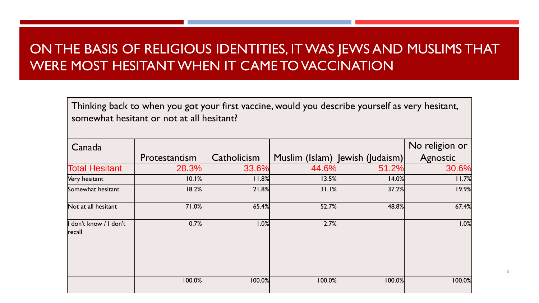#### ON THE BASIS OF RELIGIOUS IDENTITIES, IT WAS JEWS AND MUSLIMS THAT WERE MOST HESITANT WHEN IT CAME TO VACCINATION

Thinking back to when you got your first vaccine, would you describe yourself as very hesitant, somewhat hesitant or not at all hesitant?

| Canada                         |               |             |        |                                  | No religion or |
|--------------------------------|---------------|-------------|--------|----------------------------------|----------------|
|                                | Protestantism | Catholicism |        | Muslim (Islam)   ewish (Judaism) | Agnostic       |
| <b>Total Hesitant</b>          | 28.3%         | 33.6%       | 44.6%  | 51.2%                            | 30.6%          |
| Very hesitant                  | 10.1%         | 11.8%       | 13.5%  | 14.0%                            | 11.7%          |
| Somewhat hesitant              | 18.2%         | 21.8%       | 31.1%  | 37.2%                            | 19.9%          |
| Not at all hesitant            | 71.0%         | 65.4%       | 52.7%  | 48.8%                            | 67.4%          |
| don't know / I don't<br>recall | 0.7%          | 1.0%        | 2.7%   |                                  | 1.0%           |
|                                | 100.0%        | 100.0%      | 100.0% | 100.0%                           | 100.0%         |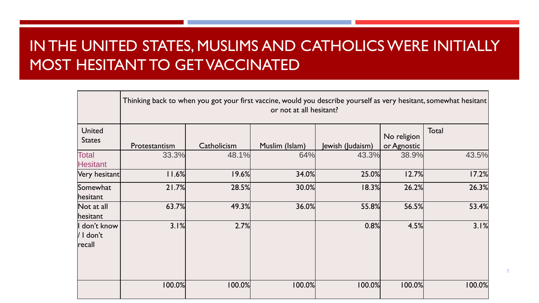# IN THE UNITED STATES, MUSLIMS AND CATHOLICS WERE INITIALLY MOST HESITANT TO GET VACCINATED

|                                      | Thinking back to when you got your first vaccine, would you describe yourself as very hesitant, somewhat hesitant  <br>or not at all hesitant? |             |                |                  |                            |        |
|--------------------------------------|------------------------------------------------------------------------------------------------------------------------------------------------|-------------|----------------|------------------|----------------------------|--------|
| <b>United</b><br><b>States</b>       | Protestantism                                                                                                                                  | Catholicism | Muslim (Islam) | Jewish (Judaism) | No religion<br>or Agnostic | Total  |
| <b>Total</b><br><b>Hesitant</b>      | 33.3%                                                                                                                                          | 48.1%       | 64%            | 43.3%            | 38.9%                      | 43.5%  |
| Very hesitant                        | 11.6%                                                                                                                                          | 19.6%       | 34.0%          | 25.0%            | 12.7%                      | 17.2%  |
| Somewhat<br>hesitant                 | 21.7%                                                                                                                                          | 28.5%       | 30.0%          | 18.3%            | 26.2%                      | 26.3%  |
| Not at all<br>hesitant               | 63.7%                                                                                                                                          | 49.3%       | 36.0%          | 55.8%            | 56.5%                      | 53.4%  |
| I don't know<br>/ I don't<br> recall | 3.1%                                                                                                                                           | 2.7%        |                | 0.8%             | 4.5%                       | 3.1%   |
|                                      | 100.0%                                                                                                                                         | 100.0%      | 100.0%         | 100.0%           | 100.0%                     | 100.0% |

7